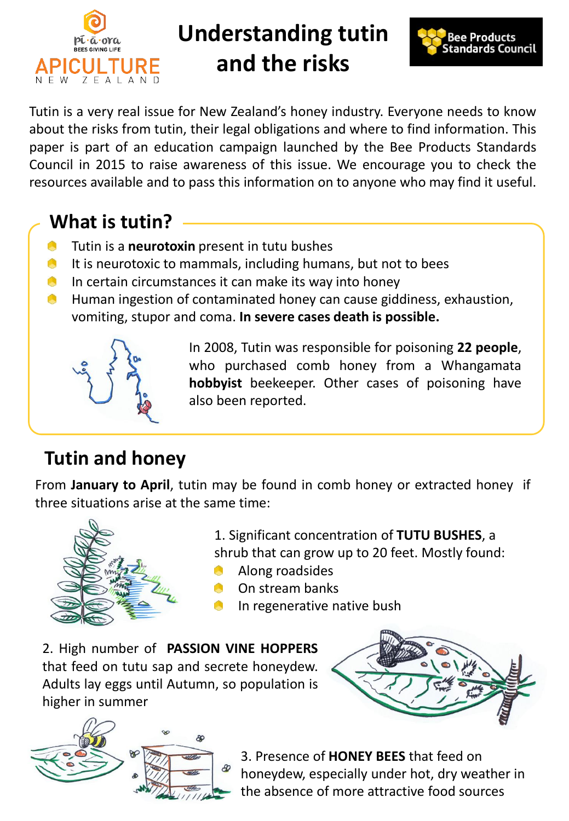

# **Understanding tutin and the risks**



Tutin is a very real issue for New Zealand's honey industry. Everyone needs to know about the risks from tutin, their legal obligations and where to find information. This paper is part of an education campaign launched by the Bee Products Standards Council in 2015 to raise awareness of this issue. We encourage you to check the resources available and to pass this information on to anyone who may find it useful.

### **What is tutin?**

- O Tutin is a **neurotoxin** present in tutu bushes
- $\bullet$  It is neurotoxic to mammals, including humans, but not to bees
- In certain circumstances it can make its way into honey **A**
- Human ingestion of contaminated honey can cause giddiness, exhaustion, A vomiting, stupor and coma. **In severe cases death is possible.**



In 2008, Tutin was responsible for poisoning **22 people**, who purchased comb honey from a Whangamata **hobbyist** beekeeper. Other cases of poisoning have also been reported.

# **Tutin and honey**

From **January to April**, tutin may be found in comb honey or extracted honey if three situations arise at the same time:



1. Significant concentration of **TUTU BUSHES**, a shrub that can grow up to 20 feet. Mostly found:

- Along roadsides
- On stream banks
- In regenerative native bush
- 2. High number of **PASSION VINE HOPPERS** that feed on tutu sap and secrete honeydew. Adults lay eggs until Autumn, so population is higher in summer





3. Presence of **HONEY BEES** that feed on honeydew, especially under hot, dry weather in the absence of more attractive food sources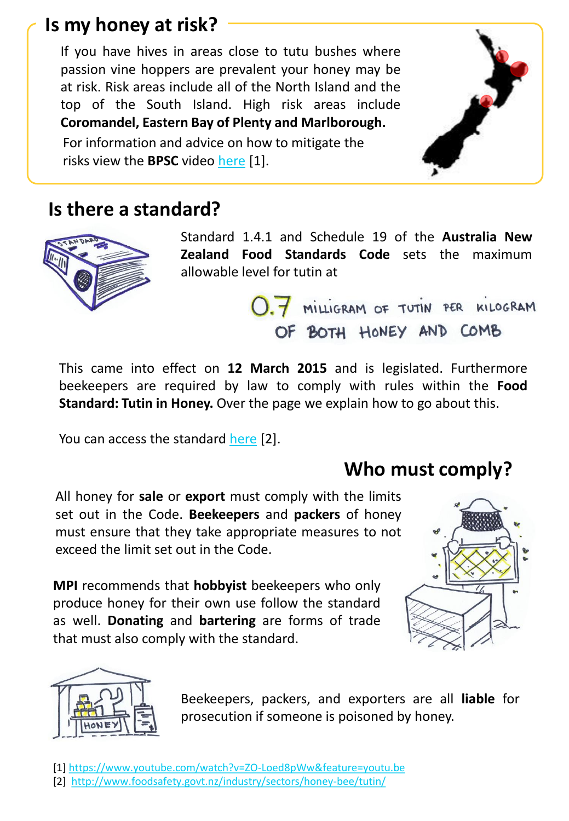### **Is my honey at risk?**

If you have hives in areas close to tutu bushes where passion vine hoppers are prevalent your honey may be at risk. Risk areas include all of the North Island and the top of the South Island. High risk areas include **Coromandel, Eastern Bay of Plenty and Marlborough.**

For information and advice on how to mitigate the risks view the **BPSC** video [here](https://www.youtube.com/watch?v=ZO-Loed8pWw&feature=youtu.be) [1].

#### **Is there a standard?**



Standard 1.4.1 and Schedule 19 of the **Australia New Zealand Food Standards Code** sets the maximum allowable level for tutin at

> 0.7 MILLIGRAM OF TUTIN PER KILOGRAM OF BOTH HONEY AND COMB

This came into effect on **12 March 2015** and is legislated. Furthermore beekeepers are required by law to comply with rules within the **Food Standard: Tutin in Honey.** Over the page we explain how to go about this.

You can access the standard [here](http://www.foodsafety.govt.nz/industry/sectors/honey-bee/tutin/) [2].

#### **Who must comply?**

All honey for **sale** or **export** must comply with the limits set out in the Code. **Beekeepers** and **packers** of honey must ensure that they take appropriate measures to not exceed the limit set out in the Code.

**MPI** recommends that **hobbyist** beekeepers who only produce honey for their own use follow the standard as well. **Donating** and **bartering** are forms of trade that must also comply with the standard.





Beekeepers, packers, and exporters are all **liable** for prosecution if someone is poisoned by honey.